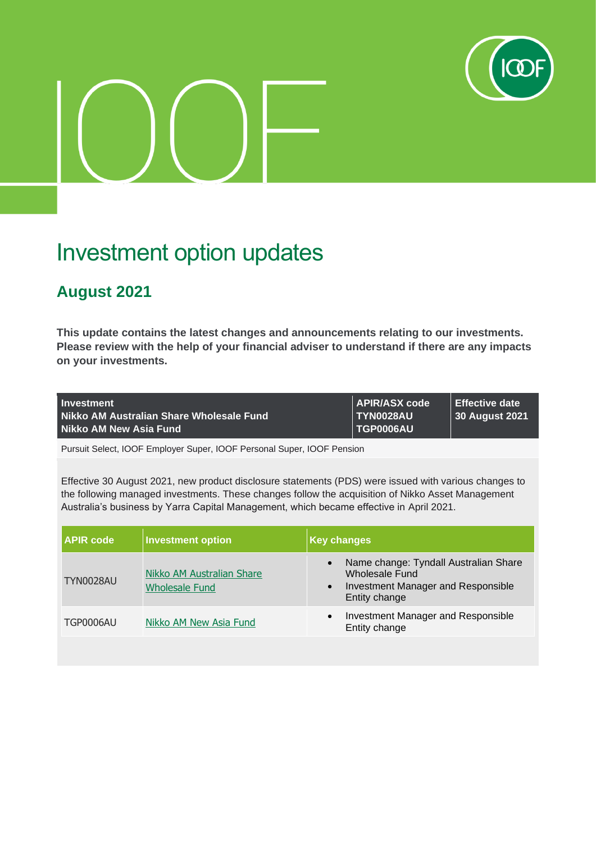

## Investment option updates

## **August 2021**

**This update contains the latest changes and announcements relating to our investments. Please review with the help of your financial adviser to understand if there are any impacts on your investments.**

| Investment                               | APIR/ASX code | <b>LEffective date</b> |
|------------------------------------------|---------------|------------------------|
| Nikko AM Australian Share Wholesale Fund | TYN0028AU     | 30 August 2021         |
| Nikko AM New Asia Fund                   | TGP0006AU     |                        |

Pursuit Select, IOOF Employer Super, IOOF Personal Super, IOOF Pension

Effective 30 August 2021, new product disclosure statements (PDS) were issued with various changes to the following managed investments. These changes follow the acquisition of Nikko Asset Management Australia's business by Yarra Capital Management, which became effective in April 2021.

| <b>APIR code</b> | <b>Investment option</b>                           | <b>Key changes</b>                                                                                                                       |
|------------------|----------------------------------------------------|------------------------------------------------------------------------------------------------------------------------------------------|
| <b>TYN0028AU</b> | Nikko AM Australian Share<br><b>Wholesale Fund</b> | Name change: Tyndall Australian Share<br>$\bullet$<br>Wholesale Fund<br>Investment Manager and Responsible<br>$\bullet$<br>Entity change |
| TGP0006AU        | Nikko AM New Asia Fund                             | Investment Manager and Responsible<br>$\bullet$<br>Entity change                                                                         |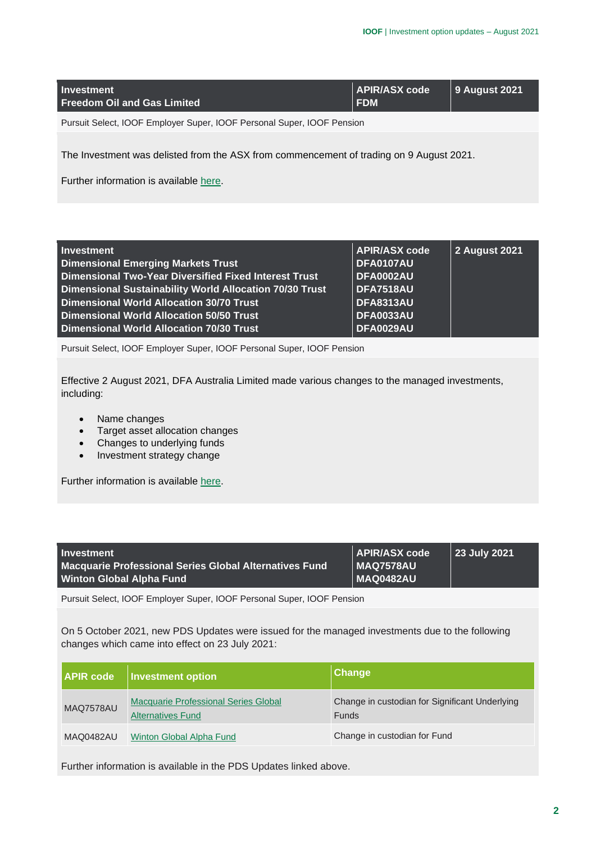| Investment<br><b>Freedom Oil and Gas Limited</b>                                        | APIR/ASX code<br><b>FDM</b> | <b>9 August 2021</b> |
|-----------------------------------------------------------------------------------------|-----------------------------|----------------------|
| Pursuit Select, IOOF Employer Super, IOOF Personal Super, IOOF Pension                  |                             |                      |
| The Investment was delisted from the ASX from commencement of trading on 9 August 2021. |                             |                      |

Further information is available [here.](https://microsite.ioof.com.au/__data/assets/pdf_file/0017/443114/2021-08-09-Freedom-Oil-and-Gas-Ltd-ASX-notice.pdf)

| <b>Investment</b>                                            | <b>APIR/ASX code</b> | 2 August 2021 |
|--------------------------------------------------------------|----------------------|---------------|
| <b>Dimensional Emerging Markets Trust</b>                    | DFA0107AU            |               |
| <b>Dimensional Two-Year Diversified Fixed Interest Trust</b> | <b>DFA0002AU</b>     |               |
| Dimensional Sustainability World Allocation 70/30 Trust      | DFA7518AU            |               |
| <b>Dimensional World Allocation 30/70 Trust</b>              | <b>DFA8313AU</b>     |               |
| <b>Dimensional World Allocation 50/50 Trust</b>              | <b>DFA0033AU</b>     |               |
| Dimensional World Allocation 70/30 Trust                     | <b>DFA0029AU</b>     |               |

Pursuit Select, IOOF Employer Super, IOOF Personal Super, IOOF Pension

Effective 2 August 2021, DFA Australia Limited made various changes to the managed investments, including:

- Name changes
- Target asset allocation changes
- Changes to underlying funds
- Investment strategy change

Further information is available [here.](https://microsite.ioof.com.au/__data/assets/pdf_file/0016/443113/2021-08-02-Dimensional-fund-changes.pdf)

| Investment                                                                                       | APIR/ASX code<br>MAG7578AU | 23 July 2021 |
|--------------------------------------------------------------------------------------------------|----------------------------|--------------|
| <b>Macquarie Professional Series Global Alternatives Fund</b><br><b>Winton Global Alpha Fund</b> | MAQ0482AU                  |              |

Pursuit Select, IOOF Employer Super, IOOF Personal Super, IOOF Pension

On 5 October 2021, new PDS Updates were issued for the managed investments due to the following changes which came into effect on 23 July 2021:

| <b>APIR code</b> | Investment option                                                       | <b>Change</b>                                                  |
|------------------|-------------------------------------------------------------------------|----------------------------------------------------------------|
| MAQ7578AU        | <b>Macquarie Professional Series Global</b><br><b>Alternatives Fund</b> | Change in custodian for Significant Underlying<br><b>Funds</b> |
| MAQ0482AU        | Winton Global Alpha Fund                                                | Change in custodian for Fund                                   |

Further information is available in the PDS Updates linked above.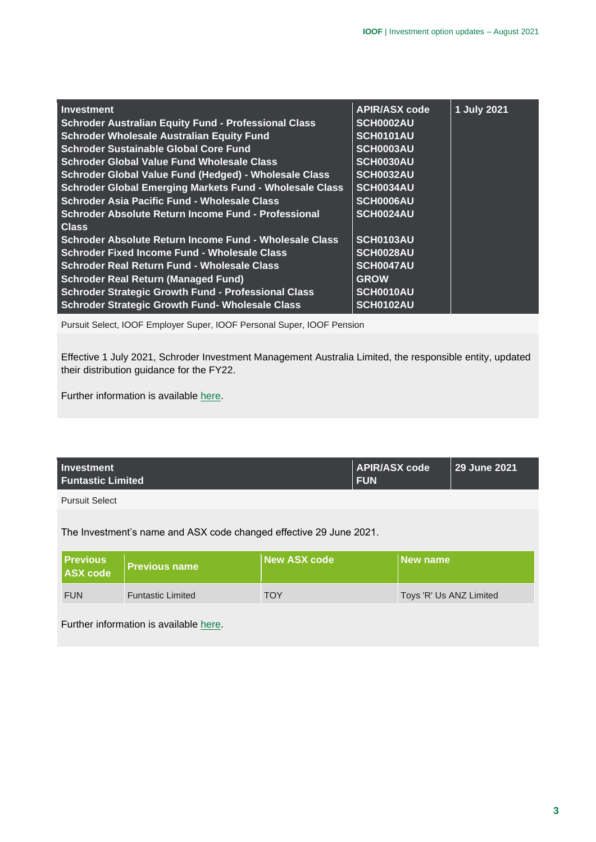| <b>Investment</b>                                           | <b>APIR/ASX code</b> | 1 July 2021 |
|-------------------------------------------------------------|----------------------|-------------|
| <b>Schroder Australian Equity Fund - Professional Class</b> | SCH0002AU            |             |
| <b>Schroder Wholesale Australian Equity Fund</b>            | SCH0101AU            |             |
| <b>Schroder Sustainable Global Core Fund</b>                | SCH0003AU            |             |
| <b>Schroder Global Value Fund Wholesale Class</b>           | SCH0030AU            |             |
| Schroder Global Value Fund (Hedged) - Wholesale Class       | SCH0032AU            |             |
| Schroder Global Emerging Markets Fund - Wholesale Class     | SCH0034AU            |             |
| <b>Schroder Asia Pacific Fund - Wholesale Class</b>         | SCH0006AU            |             |
| <b>Schroder Absolute Return Income Fund - Professional</b>  | SCH0024AU            |             |
| <b>Class</b>                                                |                      |             |
| Schroder Absolute Return Income Fund - Wholesale Class      | SCH0103AU            |             |
| <b>Schroder Fixed Income Fund - Wholesale Class</b>         | SCH0028AU            |             |
| <b>Schroder Real Return Fund - Wholesale Class</b>          | SCH0047AU            |             |
| <b>Schroder Real Return (Managed Fund)</b>                  | <b>GROW</b>          |             |
| <b>Schroder Strategic Growth Fund - Professional Class</b>  | SCH0010AU            |             |
| <b>Schroder Strategic Growth Fund- Wholesale Class</b>      | SCH0102AU            |             |

Pursuit Select, IOOF Employer Super, IOOF Personal Super, IOOF Pension

Effective 1 July 2021, Schroder Investment Management Australia Limited, the responsible entity, updated their distribution guidance for the FY22.

Further information is available [here.](https://microsite.ioof.com.au/__data/assets/pdf_file/0015/443112/2021-07-01-Schroders-distribution-guidance.pdf)

| <b>Investment</b><br><b>Funtastic Limited</b> | <b>APIR/ASX code</b><br><b>FUN</b> | 29 June 2021 |
|-----------------------------------------------|------------------------------------|--------------|
|                                               |                                    |              |

Pursuit Select

The Investment's name and ASX code changed effective 29 June 2021.

| Previous<br>ASX code | <b>Previous name</b>     | New ASX code | New name                |
|----------------------|--------------------------|--------------|-------------------------|
| <b>FUN</b>           | <b>Funtastic Limited</b> | TOY          | Toys 'R' Us ANZ Limited |

Further information is available [here.](https://microsite.ioof.com.au/__data/assets/pdf_file/0014/443111/2021-06-30-Funtastic-Ltd-name-change.pdf)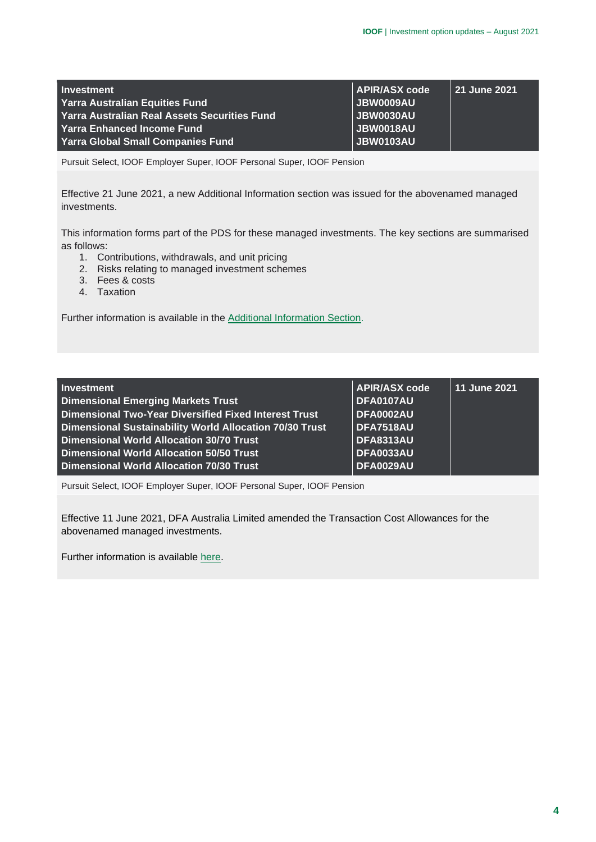| <b>Investment</b>                            | <b>APIR/ASX code</b> | 21 June 2021 |
|----------------------------------------------|----------------------|--------------|
| <b>Yarra Australian Equities Fund</b>        | JBW0009AU            |              |
| Yarra Australian Real Assets Securities Fund | JBW0030AU            |              |
| Yarra Enhanced Income Fund                   | JBW0018AU            |              |
| <b>Yarra Global Small Companies Fund</b>     | JBW0103AU            |              |

Pursuit Select, IOOF Employer Super, IOOF Personal Super, IOOF Pension

Effective 21 June 2021, a new Additional Information section was issued for the abovenamed managed investments.

This information forms part of the PDS for these managed investments. The key sections are summarised as follows:

- 1. Contributions, withdrawals, and unit pricing
- 2. Risks relating to managed investment schemes
- 3. Fees & costs
- 4. Taxation

Further information is available in the [Additional Information Section.](https://microsite.ioof.com.au/__data/assets/pdf_file/0020/443108/2021-06-21-YCM-Important-Additional-Info.pdf)

| Investment                                                   | <b>APIR/ASX code</b> | 11 June 2021 |
|--------------------------------------------------------------|----------------------|--------------|
| <b>Dimensional Emerging Markets Trust</b>                    | DFA0107AU            |              |
| <b>Dimensional Two-Year Diversified Fixed Interest Trust</b> | <b>DFA0002AU</b>     |              |
| Dimensional Sustainability World Allocation 70/30 Trust      | <b>DFA7518AU</b>     |              |
| <b>Dimensional World Allocation 30/70 Trust</b>              | <b>DFA8313AU</b>     |              |
| Dimensional World Allocation 50/50 Trust                     | <b>DFA0033AU</b>     |              |
| <b>Dimensional World Allocation 70/30 Trust</b>              | <b>DFA0029AU</b>     |              |

Pursuit Select, IOOF Employer Super, IOOF Personal Super, IOOF Pension

Effective 11 June 2021, DFA Australia Limited amended the Transaction Cost Allowances for the abovenamed managed investments.

Further information is available [here.](https://microsite.ioof.com.au/__data/assets/pdf_file/0016/443113/2021-08-02-Dimensional-fund-changes.pdf)